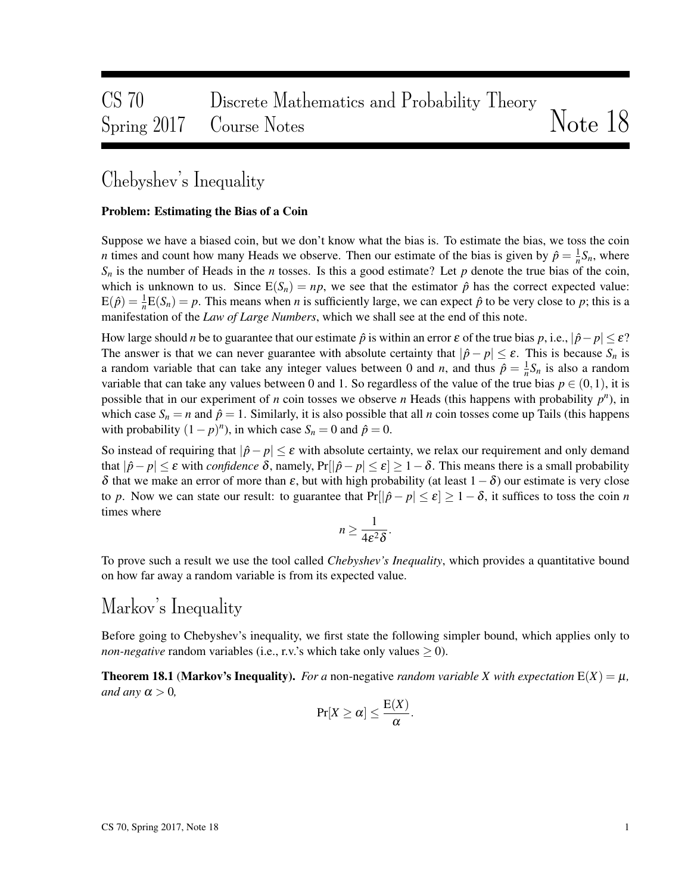# CS 70 Discrete Mathematics and Probability Theory Spring 2017 Course Notes Notes Note 18

## Chebyshev's Inequality

#### Problem: Estimating the Bias of a Coin

Suppose we have a biased coin, but we don't know what the bias is. To estimate the bias, we toss the coin *n* times and count how many Heads we observe. Then our estimate of the bias is given by  $\hat{p} = \frac{1}{n}S_n$ , where  $S_n$  is the number of Heads in the *n* tosses. Is this a good estimate? Let *p* denote the true bias of the coin, which is unknown to us. Since  $E(S_n) = np$ , we see that the estimator  $\hat{p}$  has the correct expected value:  $E(\hat{p}) = \frac{1}{n}E(S_n) = p$ . This means when *n* is sufficiently large, we can expect  $\hat{p}$  to be very close to *p*; this is a manifestation of the *Law of Large Numbers*, which we shall see at the end of this note.

How large should *n* be to guarantee that our estimate  $\hat{p}$  is within an error  $\varepsilon$  of the true bias  $p$ , i.e.,  $|\hat{p} - p| \leq \varepsilon$ ? The answer is that we can never guarantee with absolute certainty that  $|\hat{p} - p| \le \varepsilon$ . This is because  $S_n$  is a random variable that can take any integer values between 0 and *n*, and thus  $\hat{p} = \frac{1}{n}S_n$  is also a random variable that can take any values between 0 and 1. So regardless of the value of the true bias  $p \in (0,1)$ , it is possible that in our experiment of *n* coin tosses we observe *n* Heads (this happens with probability  $p^n$ ), in which case  $S_n = n$  and  $\hat{p} = 1$ . Similarly, it is also possible that all *n* coin tosses come up Tails (this happens with probability  $(1 - p)^n$ , in which case  $S_n = 0$  and  $\hat{p} = 0$ .

So instead of requiring that  $|\hat{p} - p| \leq \varepsilon$  with absolute certainty, we relax our requirement and only demand that  $|\hat{p} - p| \leq \varepsilon$  with *confidence*  $\delta$ , namely,  $Pr[|\hat{p} - p| \leq \varepsilon] \geq 1 - \delta$ . This means there is a small probability δ that we make an error of more than  $\varepsilon$ , but with high probability (at least  $1-\delta$ ) our estimate is very close to *p*. Now we can state our result: to guarantee that  $Pr[|\hat{p} - p| \le \varepsilon] \ge 1 - \delta$ , it suffices to toss the coin *n* times where

$$
n\geq \frac{1}{4\varepsilon^2\delta}.
$$

To prove such a result we use the tool called *Chebyshev's Inequality*, which provides a quantitative bound on how far away a random variable is from its expected value.

## Markov's Inequality

Before going to Chebyshev's inequality, we first state the following simpler bound, which applies only to *non-negative* random variables (i.e., r.v.'s which take only values  $\geq 0$ ).

**Theorem 18.1 (Markov's Inequality).** *For a* non-negative *random variable X with expectation*  $E(X) = \mu$ *, and any*  $\alpha > 0$ ,

$$
\Pr[X \geq \alpha] \leq \frac{\operatorname{E}(X)}{\alpha}.
$$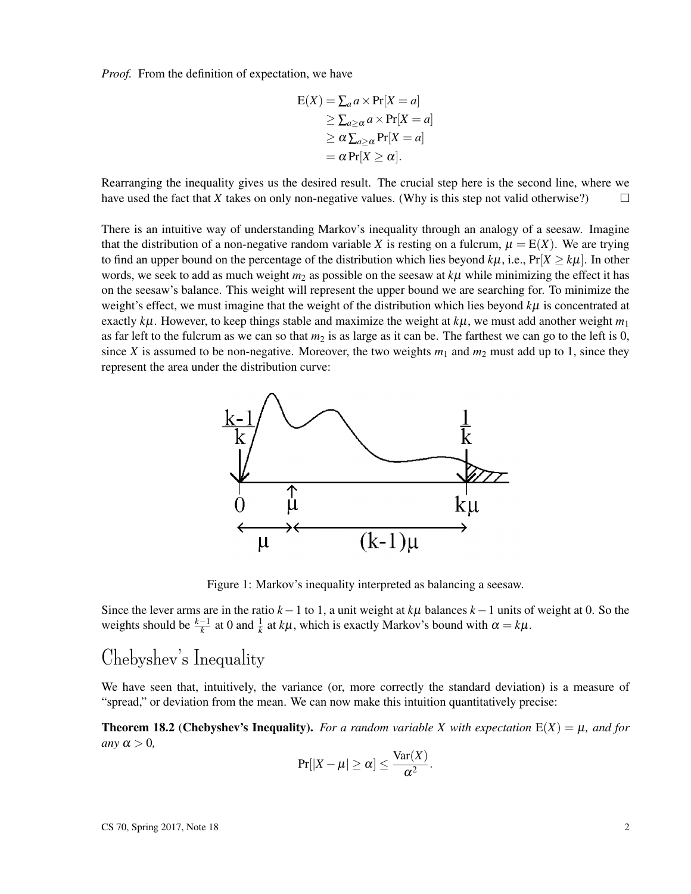*Proof.* From the definition of expectation, we have

$$
E(X) = \sum_{a} a \times Pr[X = a]
$$
  
\n
$$
\geq \sum_{a \geq \alpha} a \times Pr[X = a]
$$
  
\n
$$
\geq \alpha \sum_{a \geq \alpha} Pr[X = a]
$$
  
\n
$$
= \alpha Pr[X \geq \alpha].
$$

Rearranging the inequality gives us the desired result. The crucial step here is the second line, where we have used the fact that *X* takes on only non-negative values. (Why is this step not valid otherwise?)  $\Box$ 

There is an intuitive way of understanding Markov's inequality through an analogy of a seesaw. Imagine that the distribution of a non-negative random variable *X* is resting on a fulcrum,  $\mu = E(X)$ . We are trying to find an upper bound on the percentage of the distribution which lies beyond  $k\mu$ , i.e.,  $Pr[X \ge k\mu]$ . In other words, we seek to add as much weight  $m_2$  as possible on the seesaw at  $k\mu$  while minimizing the effect it has on the seesaw's balance. This weight will represent the upper bound we are searching for. To minimize the weight's effect, we must imagine that the weight of the distribution which lies beyond *k*µ is concentrated at exactly  $k\mu$ . However, to keep things stable and maximize the weight at  $k\mu$ , we must add another weight  $m_1$ as far left to the fulcrum as we can so that  $m_2$  is as large as it can be. The farthest we can go to the left is 0, since *X* is assumed to be non-negative. Moreover, the two weights  $m_1$  and  $m_2$  must add up to 1, since they represent the area under the distribution curve:



Figure 1: Markov's inequality interpreted as balancing a seesaw.

Since the lever arms are in the ratio  $k-1$  to 1, a unit weight at  $k\mu$  balances  $k-1$  units of weight at 0. So the weights should be  $\frac{k-1}{k}$  at 0 and  $\frac{1}{k}$  at  $k\mu$ , which is exactly Markov's bound with  $\alpha = k\mu$ .

#### Chebyshev's Inequality

We have seen that, intuitively, the variance (or, more correctly the standard deviation) is a measure of "spread," or deviation from the mean. We can now make this intuition quantitatively precise:

**Theorem 18.2 (Chebyshev's Inequality).** *For a random variable X with expectation*  $E(X) = \mu$ *, and for any*  $\alpha > 0$ ,

$$
\Pr[|X - \mu| \ge \alpha] \le \frac{\text{Var}(X)}{\alpha^2}.
$$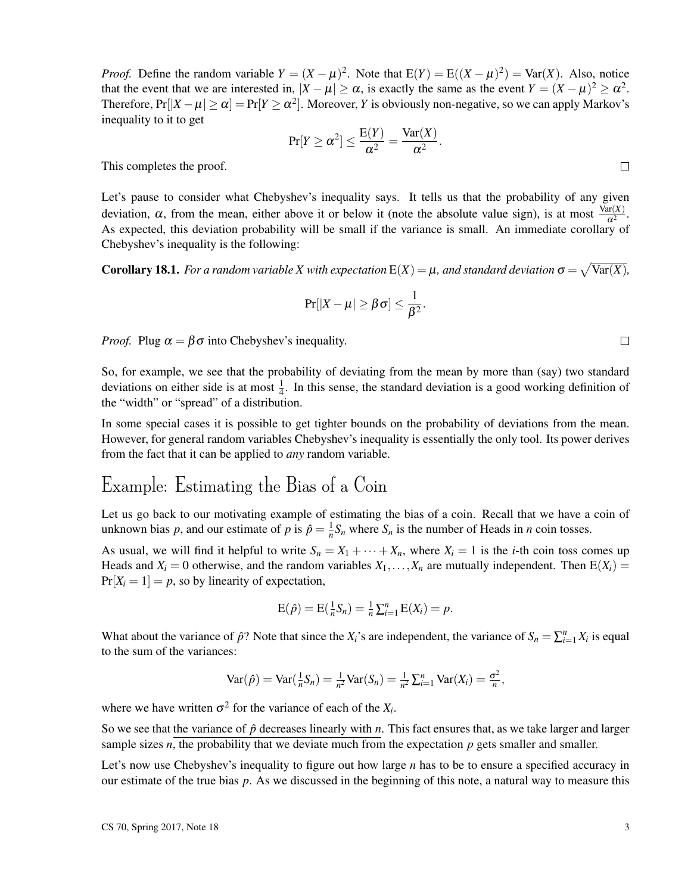*Proof.* Define the random variable  $Y = (X - \mu)^2$ . Note that  $E(Y) = E((X - \mu)^2) = Var(X)$ . Also, notice that the event that we are interested in,  $|X - \mu| \ge \alpha$ , is exactly the same as the event  $Y = (X - \mu)^2 \ge \alpha^2$ . Therefore,  $Pr[|X - \mu| \ge \alpha] = Pr[Y \ge \alpha^2]$ . Moreover, *Y* is obviously non-negative, so we can apply Markov's inequality to it to get

$$
\Pr[Y \geq \alpha^2] \leq \frac{\operatorname{E}(Y)}{\alpha^2} = \frac{\operatorname{Var}(X)}{\alpha^2}.
$$

This completes the proof.

Let's pause to consider what Chebyshev's inequality says. It tells us that the probability of any given deviation,  $\alpha$ , from the mean, either above it or below it (note the absolute value sign), is at most  $\frac{\text{Var}(X)}{\alpha^2}$ . As expected, this deviation probability will be small if the variance is small. An immediate corollary of Chebyshev's inequality is the following:

**Corollary 18.1.** *For a random variable X with expectation*  $E(X) = \mu$ , and standard deviation  $\sigma = \sqrt{Var(X)}$ ,

$$
\Pr[|X-\mu|\geq \beta\sigma]\leq \frac{1}{\beta^2}.
$$

*Proof.* Plug  $\alpha = \beta \sigma$  into Chebyshev's inequality.

So, for example, we see that the probability of deviating from the mean by more than (say) two standard deviations on either side is at most  $\frac{1}{4}$ . In this sense, the standard deviation is a good working definition of the "width" or "spread" of a distribution.

In some special cases it is possible to get tighter bounds on the probability of deviations from the mean. However, for general random variables Chebyshev's inequality is essentially the only tool. Its power derives from the fact that it can be applied to *any* random variable.

### Example: Estimating the Bias of a Coin

Let us go back to our motivating example of estimating the bias of a coin. Recall that we have a coin of unknown bias *p*, and our estimate of *p* is  $\hat{p} = \frac{1}{n} S_n$  where  $S_n$  is the number of Heads in *n* coin tosses.

As usual, we will find it helpful to write  $S_n = X_1 + \cdots + X_n$ , where  $X_i = 1$  is the *i*-th coin toss comes up Heads and  $X_i = 0$  otherwise, and the random variables  $X_1, \ldots, X_n$  are mutually independent. Then  $E(X_i) =$  $Pr[X_i = 1] = p$ , so by linearity of expectation,

$$
E(\hat{p}) = E(\frac{1}{n}S_n) = \frac{1}{n}\sum_{i=1}^n E(X_i) = p.
$$

What about the variance of  $\hat{p}$ ? Note that since the *X*<sup>*i*</sup>'s are independent, the variance of  $S_n = \sum_{i=1}^n X_i$  is equal to the sum of the variances:

$$
Var(\hat{p}) = Var(\frac{1}{n}S_n) = \frac{1}{n^2}Var(S_n) = \frac{1}{n^2}\sum_{i=1}^n Var(X_i) = \frac{\sigma^2}{n},
$$

where we have written  $\sigma^2$  for the variance of each of the  $X_i$ .

So we see that the variance of  $\hat{p}$  decreases linearly with *n*. This fact ensures that, as we take larger and larger sample sizes  $n$ , the probability that we deviate much from the expectation  $p$  gets smaller and smaller.

Let's now use Chebyshev's inequality to figure out how large *n* has to be to ensure a specified accuracy in our estimate of the true bias *p*. As we discussed in the beginning of this note, a natural way to measure this

 $\Box$ 

 $\Box$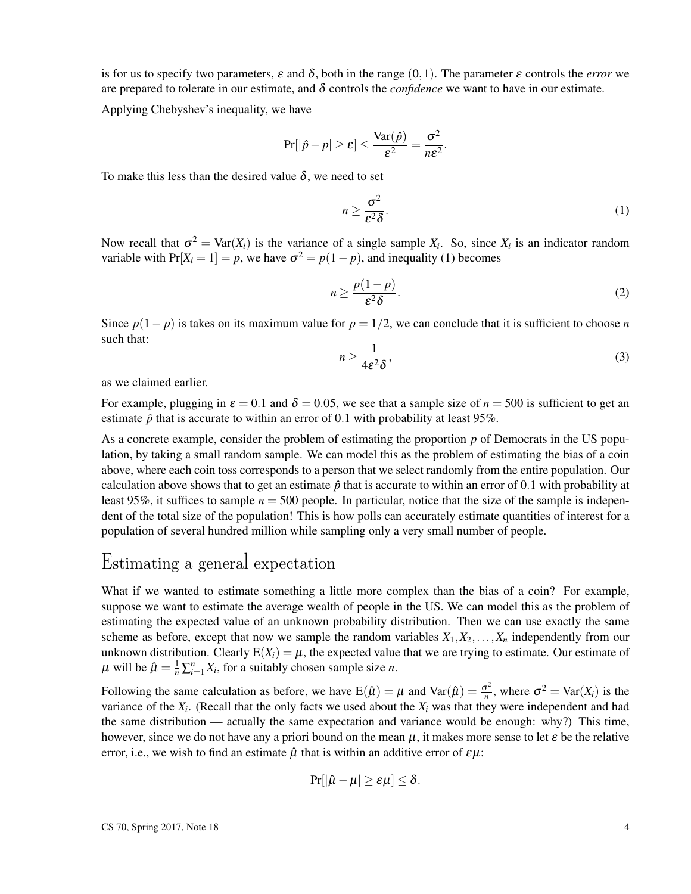is for us to specify two parameters,  $\varepsilon$  and  $\delta$ , both in the range  $(0,1)$ . The parameter  $\varepsilon$  controls the *error* we are prepared to tolerate in our estimate, and  $\delta$  controls the *confidence* we want to have in our estimate.

Applying Chebyshev's inequality, we have

$$
Pr[|\hat{p} - p| \ge \varepsilon] \le \frac{Var(\hat{p})}{\varepsilon^2} = \frac{\sigma^2}{n\varepsilon^2}.
$$

To make this less than the desired value  $\delta$ , we need to set

$$
n \ge \frac{\sigma^2}{\varepsilon^2 \delta}.\tag{1}
$$

Now recall that  $\sigma^2 = \text{Var}(X_i)$  is the variance of a single sample  $X_i$ . So, since  $X_i$  is an indicator random variable with  $Pr[X_i = 1] = p$ , we have  $\sigma^2 = p(1 - p)$ , and inequality (1) becomes

$$
n \ge \frac{p(1-p)}{\varepsilon^2 \delta}.\tag{2}
$$

Since  $p(1-p)$  is takes on its maximum value for  $p = 1/2$ , we can conclude that it is sufficient to choose *n* such that:

$$
n \ge \frac{1}{4\varepsilon^2 \delta},\tag{3}
$$

as we claimed earlier.

For example, plugging in  $\varepsilon = 0.1$  and  $\delta = 0.05$ , we see that a sample size of  $n = 500$  is sufficient to get an estimate  $\hat{p}$  that is accurate to within an error of 0.1 with probability at least 95%.

As a concrete example, consider the problem of estimating the proportion *p* of Democrats in the US population, by taking a small random sample. We can model this as the problem of estimating the bias of a coin above, where each coin toss corresponds to a person that we select randomly from the entire population. Our calculation above shows that to get an estimate  $\hat{p}$  that is accurate to within an error of 0.1 with probability at least 95%, it suffices to sample  $n = 500$  people. In particular, notice that the size of the sample is independent of the total size of the population! This is how polls can accurately estimate quantities of interest for a population of several hundred million while sampling only a very small number of people.

#### Estimating a general expectation

What if we wanted to estimate something a little more complex than the bias of a coin? For example, suppose we want to estimate the average wealth of people in the US. We can model this as the problem of estimating the expected value of an unknown probability distribution. Then we can use exactly the same scheme as before, except that now we sample the random variables  $X_1, X_2, \ldots, X_n$  independently from our unknown distribution. Clearly  $E(X_i) = \mu$ , the expected value that we are trying to estimate. Our estimate of  $\mu$  will be  $\hat{\mu} = \frac{1}{n} \sum_{i=1}^{n} X_i$ , for a suitably chosen sample size *n*.

Following the same calculation as before, we have  $E(\hat{\mu}) = \mu$  and  $Var(\hat{\mu}) = \frac{\sigma^2}{n}$  $\sigma^2$ , where  $\sigma^2$  = Var(*X<sub>i</sub>*) is the variance of the *X<sup>i</sup>* . (Recall that the only facts we used about the *X<sup>i</sup>* was that they were independent and had the same distribution — actually the same expectation and variance would be enough: why?) This time, however, since we do not have any a priori bound on the mean  $\mu$ , it makes more sense to let  $\varepsilon$  be the relative error, i.e., we wish to find an estimate  $\hat{\mu}$  that is within an additive error of  $\epsilon \mu$ :

$$
\Pr[|\hat{\mu} - \mu| \geq \varepsilon \mu] \leq \delta.
$$